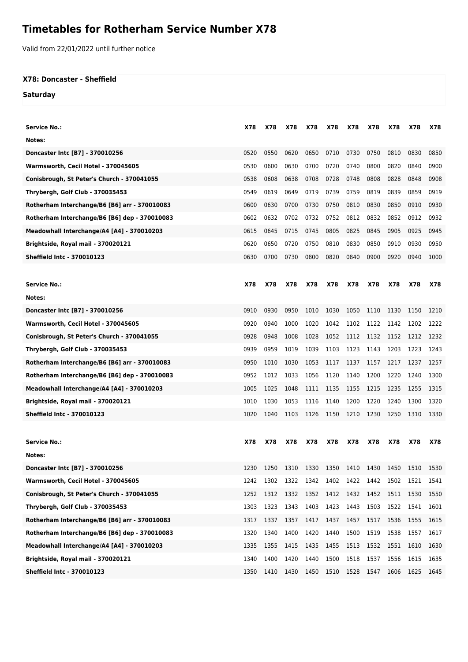## **Timetables for Rotherham Service Number X78**

Valid from 22/01/2022 until further notice

## **X78: Doncaster - Sheffield**

**Saturday**

| <b>Service No.:</b>                           | X78  | X78  | X78                                          | X78  | X78       | X78  | X78  | X78  | X78  | X78  |
|-----------------------------------------------|------|------|----------------------------------------------|------|-----------|------|------|------|------|------|
| Notes:                                        |      |      |                                              |      |           |      |      |      |      |      |
| Doncaster Intc [B7] - 370010256               | 0520 | 0550 | 0620                                         | 0650 | 0710      | 0730 | 0750 | 0810 | 0830 | 0850 |
| Warmsworth, Cecil Hotel - 370045605           | 0530 | 0600 | 0630                                         | 0700 | 0720      | 0740 | 0800 | 0820 | 0840 | 0900 |
| Conisbrough, St Peter's Church - 370041055    | 0538 | 0608 | 0638                                         | 0708 | 0728      | 0748 | 0808 | 0828 | 0848 | 0908 |
| Thrybergh, Golf Club - 370035453              | 0549 | 0619 | 0649                                         | 0719 | 0739      | 0759 | 0819 | 0839 | 0859 | 0919 |
| Rotherham Interchange/B6 [B6] arr - 370010083 | 0600 | 0630 | 0700                                         | 0730 | 0750      | 0810 | 0830 | 0850 | 0910 | 0930 |
| Rotherham Interchange/B6 [B6] dep - 370010083 | 0602 | 0632 | 0702                                         | 0732 | 0752      | 0812 | 0832 | 0852 | 0912 | 0932 |
| Meadowhall Interchange/A4 [A4] - 370010203    | 0615 | 0645 | 0715                                         | 0745 | 0805      | 0825 | 0845 | 0905 | 0925 | 0945 |
| Brightside, Royal mail - 370020121            | 0620 | 0650 | 0720                                         | 0750 | 0810      | 0830 | 0850 | 0910 | 0930 | 0950 |
| Sheffield Intc - 370010123                    | 0630 | 0700 | 0730                                         | 0800 | 0820      | 0840 | 0900 | 0920 | 0940 | 1000 |
|                                               |      |      |                                              |      |           |      |      |      |      |      |
| <b>Service No.:</b>                           | X78  | X78  | X78                                          | X78  | X78       | X78  | X78  | X78  | X78  | X78  |
| Notes:                                        |      |      |                                              |      |           |      |      |      |      |      |
| Doncaster Intc [B7] - 370010256               | 0910 | 0930 | 0950                                         | 1010 | 1030      | 1050 | 1110 | 1130 | 1150 | 1210 |
| Warmsworth, Cecil Hotel - 370045605           | 0920 | 0940 | 1000                                         | 1020 | 1042      | 1102 | 1122 | 1142 | 1202 | 1222 |
| Conisbrough, St Peter's Church - 370041055    | 0928 | 0948 | 1008                                         | 1028 | 1052      | 1112 | 1132 | 1152 | 1212 | 1232 |
| Thrybergh, Golf Club - 370035453              | 0939 | 0959 | 1019                                         | 1039 | 1103      | 1123 | 1143 | 1203 | 1223 | 1243 |
| Rotherham Interchange/B6 [B6] arr - 370010083 | 0950 | 1010 | 1030                                         | 1053 | 1117      | 1137 | 1157 | 1217 | 1237 | 1257 |
| Rotherham Interchange/B6 [B6] dep - 370010083 | 0952 | 1012 | 1033                                         | 1056 | 1120      | 1140 | 1200 | 1220 | 1240 | 1300 |
| Meadowhall Interchange/A4 [A4] - 370010203    | 1005 | 1025 | 1048                                         | 1111 | 1135      | 1155 | 1215 | 1235 | 1255 | 1315 |
| Brightside, Royal mail - 370020121            | 1010 | 1030 | 1053                                         | 1116 | 1140      | 1200 | 1220 | 1240 | 1300 | 1320 |
| Sheffield Intc - 370010123                    | 1020 | 1040 | 1103                                         | 1126 | 1150      | 1210 | 1230 | 1250 | 1310 | 1330 |
|                                               |      |      |                                              |      |           |      |      |      |      |      |
| <b>Service No.:</b>                           | X78  | X78  | X78                                          | X78  | X78       | X78  | X78  | X78  | X78  | X78  |
| Notes:                                        |      |      |                                              |      |           |      |      |      |      |      |
| Doncaster Intc [B7] - 370010256               | 1230 |      | 1250 1310 1330 1350 1410 1430 1450 1510 1530 |      |           |      |      |      |      |      |
| Warmsworth, Cecil Hotel - 370045605           | 1242 | 1302 | 1322                                         | 1342 | 1402 1422 |      | 1442 | 1502 | 1521 | 1541 |
| Conisbrough, St Peter's Church - 370041055    | 1252 | 1312 | 1332                                         | 1352 | 1412      | 1432 | 1452 | 1511 | 1530 | 1550 |
| Thrybergh, Golf Club - 370035453              | 1303 | 1323 | 1343                                         | 1403 | 1423      | 1443 | 1503 | 1522 | 1541 | 1601 |
| Rotherham Interchange/B6 [B6] arr - 370010083 | 1317 | 1337 | 1357                                         | 1417 | 1437      | 1457 | 1517 | 1536 | 1555 | 1615 |
| Rotherham Interchange/B6 [B6] dep - 370010083 | 1320 | 1340 | 1400                                         | 1420 | 1440      | 1500 | 1519 | 1538 | 1557 | 1617 |
| Meadowhall Interchange/A4 [A4] - 370010203    | 1335 | 1355 | 1415                                         | 1435 | 1455      | 1513 | 1532 | 1551 | 1610 | 1630 |
| Brightside, Royal mail - 370020121            | 1340 | 1400 | 1420                                         | 1440 | 1500      | 1518 | 1537 | 1556 | 1615 | 1635 |
| Sheffield Intc - 370010123                    | 1350 | 1410 | 1430                                         | 1450 | 1510      | 1528 | 1547 | 1606 | 1625 | 1645 |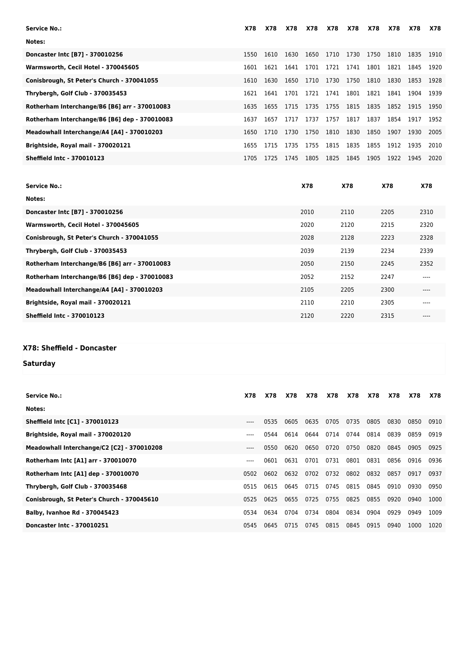| Notes:<br>1610<br>1630<br>1650<br>1710<br>1730<br>Doncaster Intc [B7] - 370010256<br>1750<br>1810<br>1835<br>1550<br>1910<br>1641<br>1701<br>1721<br>1741<br>1801<br>1821<br>1621<br>1845<br>1920<br>Warmsworth, Cecil Hotel - 370045605<br>1601<br>1750<br>1810<br>1830<br>Conisbrough, St Peter's Church - 370041055<br>1650<br>1710<br>1730<br>1853<br>1630<br>1928<br>1610<br>1701<br>1721<br>1741<br>1801<br>1821<br>Thrybergh, Golf Club - 370035453<br>1841<br>1621<br>1641<br>1904<br>1939<br>Rotherham Interchange/B6 [B6] arr - 370010083<br>1755<br>1815<br>1835<br>1852<br>1715<br>1735<br>1915<br>1950<br>1635<br>1655<br>1737<br>1757<br>1817<br>1837<br>1854<br>Rotherham Interchange/B6 [B6] dep - 370010083<br>1657<br>1717<br>1917<br>1637<br>1952<br>1730<br>1750<br>1810<br>1830<br>1850<br>Meadowhall Interchange/A4 [A4] - 370010203<br>1907<br>1710<br>1930<br>2005<br>1650<br>1835<br>1735<br>1755<br>1815<br>1855<br>1912<br>Brightside, Royal mail - 370020121<br>1715<br>1935<br>1655<br>2010<br><b>Sheffield Intc - 370010123</b><br>1745<br>1805<br>1825<br>1845<br>1905<br>1725<br>1922<br>1945<br>1705<br>2020 | Service No.: | X78 | X78 | <b>X78</b> | <b>X78</b> | <b>X78</b> | X78 | <b>X78</b> | <b>X78</b> | X78 | X78 |
|-----------------------------------------------------------------------------------------------------------------------------------------------------------------------------------------------------------------------------------------------------------------------------------------------------------------------------------------------------------------------------------------------------------------------------------------------------------------------------------------------------------------------------------------------------------------------------------------------------------------------------------------------------------------------------------------------------------------------------------------------------------------------------------------------------------------------------------------------------------------------------------------------------------------------------------------------------------------------------------------------------------------------------------------------------------------------------------------------------------------------------------------------|--------------|-----|-----|------------|------------|------------|-----|------------|------------|-----|-----|
|                                                                                                                                                                                                                                                                                                                                                                                                                                                                                                                                                                                                                                                                                                                                                                                                                                                                                                                                                                                                                                                                                                                                               |              |     |     |            |            |            |     |            |            |     |     |
|                                                                                                                                                                                                                                                                                                                                                                                                                                                                                                                                                                                                                                                                                                                                                                                                                                                                                                                                                                                                                                                                                                                                               |              |     |     |            |            |            |     |            |            |     |     |
|                                                                                                                                                                                                                                                                                                                                                                                                                                                                                                                                                                                                                                                                                                                                                                                                                                                                                                                                                                                                                                                                                                                                               |              |     |     |            |            |            |     |            |            |     |     |
|                                                                                                                                                                                                                                                                                                                                                                                                                                                                                                                                                                                                                                                                                                                                                                                                                                                                                                                                                                                                                                                                                                                                               |              |     |     |            |            |            |     |            |            |     |     |
|                                                                                                                                                                                                                                                                                                                                                                                                                                                                                                                                                                                                                                                                                                                                                                                                                                                                                                                                                                                                                                                                                                                                               |              |     |     |            |            |            |     |            |            |     |     |
|                                                                                                                                                                                                                                                                                                                                                                                                                                                                                                                                                                                                                                                                                                                                                                                                                                                                                                                                                                                                                                                                                                                                               |              |     |     |            |            |            |     |            |            |     |     |
|                                                                                                                                                                                                                                                                                                                                                                                                                                                                                                                                                                                                                                                                                                                                                                                                                                                                                                                                                                                                                                                                                                                                               |              |     |     |            |            |            |     |            |            |     |     |
|                                                                                                                                                                                                                                                                                                                                                                                                                                                                                                                                                                                                                                                                                                                                                                                                                                                                                                                                                                                                                                                                                                                                               |              |     |     |            |            |            |     |            |            |     |     |
|                                                                                                                                                                                                                                                                                                                                                                                                                                                                                                                                                                                                                                                                                                                                                                                                                                                                                                                                                                                                                                                                                                                                               |              |     |     |            |            |            |     |            |            |     |     |
|                                                                                                                                                                                                                                                                                                                                                                                                                                                                                                                                                                                                                                                                                                                                                                                                                                                                                                                                                                                                                                                                                                                                               |              |     |     |            |            |            |     |            |            |     |     |

| <b>Service No.:</b>                           | <b>X78</b> | <b>X78</b> | X78  | <b>X78</b> |
|-----------------------------------------------|------------|------------|------|------------|
| Notes:                                        |            |            |      |            |
| Doncaster Intc [B7] - 370010256               | 2010       | 2110       | 2205 | 2310       |
| Warmsworth, Cecil Hotel - 370045605           | 2020       | 2120       | 2215 | 2320       |
| Conisbrough, St Peter's Church - 370041055    | 2028       | 2128       | 2223 | 2328       |
| Thrybergh, Golf Club - 370035453              | 2039       | 2139       | 2234 | 2339       |
| Rotherham Interchange/B6 [B6] arr - 370010083 | 2050       | 2150       | 2245 | 2352       |
| Rotherham Interchange/B6 [B6] dep - 370010083 | 2052       | 2152       | 2247 | ----       |
| Meadowhall Interchange/A4 [A4] - 370010203    | 2105       | 2205       | 2300 | ----       |
| Brightside, Royal mail - 370020121            | 2110       | 2210       | 2305 | ----       |
| <b>Sheffield Intc - 370010123</b>             | 2120       | 2220       | 2315 | ----       |
|                                               |            |            |      |            |

## **X78: Sheffield - Doncaster**

## **Saturday**

| <b>Service No.:</b>                        | <b>X78</b> | <b>X78</b> | <b>X78</b> | X78  | X78  | X78  | <b>X78</b> | X78  | X78  | X78  |
|--------------------------------------------|------------|------------|------------|------|------|------|------------|------|------|------|
| Notes:                                     |            |            |            |      |      |      |            |      |      |      |
| Sheffield Intc [C1] - 370010123            | $---$      | 0535       | 0605       | 0635 | 0705 | 0735 | 0805       | 0830 | 0850 | 0910 |
| Brightside, Royal mail - 370020120         | $---$      | 0544       | 0614       | 0644 | 0714 | 0744 | 0814       | 0839 | 0859 | 0919 |
| Meadowhall Interchange/C2 [C2] - 370010208 | $---$      | 0550       | 0620       | 0650 | 0720 | 0750 | 0820       | 0845 | 0905 | 0925 |
| Rotherham Intc [A1] arr - 370010070        | ----       | 0601       | 0631       | 0701 | 0731 | 0801 | 0831       | 0856 | 0916 | 0936 |
| Rotherham Intc [A1] dep - 370010070        | 0502       | 0602       | 0632       | 0702 | 0732 | 0802 | 0832       | 0857 | 0917 | 0937 |
| Thrybergh, Golf Club - 370035468           | 0515       | 0615       | 0645       | 0715 | 0745 | 0815 | 0845       | 0910 | 0930 | 0950 |
| Conisbrough, St Peter's Church - 370045610 | 0525       | 0625       | 0655       | 0725 | 0755 | 0825 | 0855       | 0920 | 0940 | 1000 |
| <b>Balby, Ivanhoe Rd - 370045423</b>       | 0534       | 0634       | 0704       | 0734 | 0804 | 0834 | 0904       | 0929 | 0949 | 1009 |
| Doncaster Intc - 370010251                 | 0545       | 0645       | 0715       | 0745 | 0815 | 0845 | 0915       | 0940 | 1000 | 1020 |